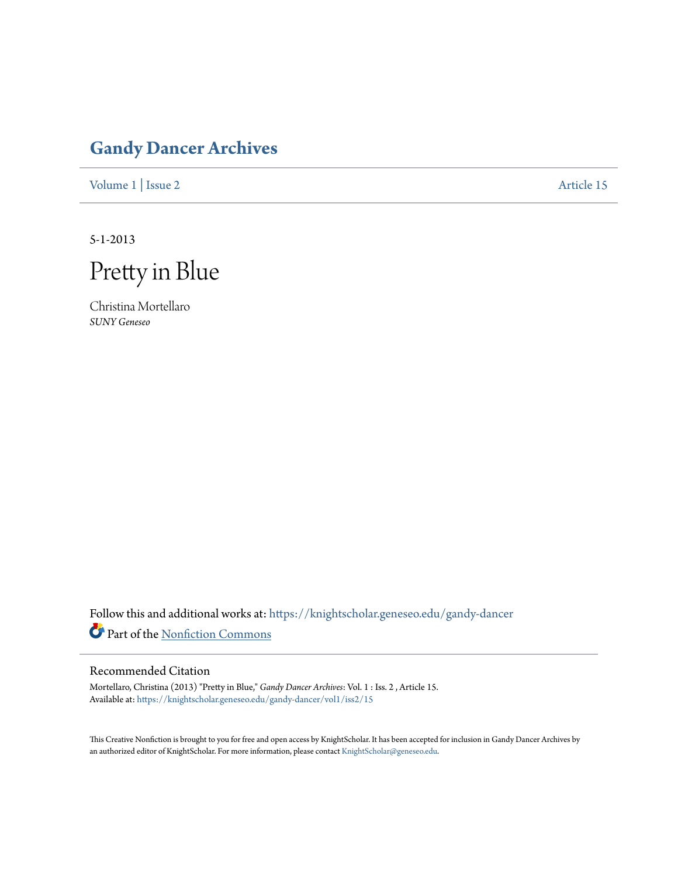## **[Gandy Dancer Archives](https://knightscholar.geneseo.edu/gandy-dancer?utm_source=knightscholar.geneseo.edu%2Fgandy-dancer%2Fvol1%2Fiss2%2F15&utm_medium=PDF&utm_campaign=PDFCoverPages)**

[Volume 1](https://knightscholar.geneseo.edu/gandy-dancer/vol1?utm_source=knightscholar.geneseo.edu%2Fgandy-dancer%2Fvol1%2Fiss2%2F15&utm_medium=PDF&utm_campaign=PDFCoverPages) | [Issue 2](https://knightscholar.geneseo.edu/gandy-dancer/vol1/iss2?utm_source=knightscholar.geneseo.edu%2Fgandy-dancer%2Fvol1%2Fiss2%2F15&utm_medium=PDF&utm_campaign=PDFCoverPages) [Article 15](https://knightscholar.geneseo.edu/gandy-dancer/vol1/iss2/15?utm_source=knightscholar.geneseo.edu%2Fgandy-dancer%2Fvol1%2Fiss2%2F15&utm_medium=PDF&utm_campaign=PDFCoverPages)

5-1-2013

Pretty in Blue

Christina Mortellaro *SUNY Geneseo*

Follow this and additional works at: [https://knightscholar.geneseo.edu/gandy-dancer](https://knightscholar.geneseo.edu/gandy-dancer?utm_source=knightscholar.geneseo.edu%2Fgandy-dancer%2Fvol1%2Fiss2%2F15&utm_medium=PDF&utm_campaign=PDFCoverPages) Part of the [Nonfiction Commons](http://network.bepress.com/hgg/discipline/1152?utm_source=knightscholar.geneseo.edu%2Fgandy-dancer%2Fvol1%2Fiss2%2F15&utm_medium=PDF&utm_campaign=PDFCoverPages)

## Recommended Citation

Mortellaro, Christina (2013) "Pretty in Blue," *Gandy Dancer Archives*: Vol. 1 : Iss. 2 , Article 15. Available at: [https://knightscholar.geneseo.edu/gandy-dancer/vol1/iss2/15](https://knightscholar.geneseo.edu/gandy-dancer/vol1/iss2/15?utm_source=knightscholar.geneseo.edu%2Fgandy-dancer%2Fvol1%2Fiss2%2F15&utm_medium=PDF&utm_campaign=PDFCoverPages)

This Creative Nonfiction is brought to you for free and open access by KnightScholar. It has been accepted for inclusion in Gandy Dancer Archives by an authorized editor of KnightScholar. For more information, please contact [KnightScholar@geneseo.edu](mailto:KnightScholar@geneseo.edu).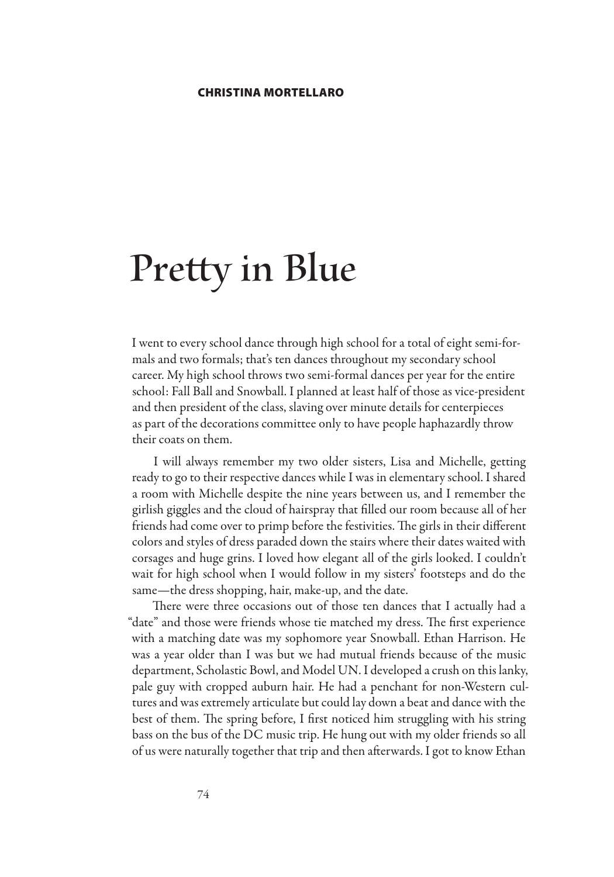## **Pretty in Blue**

I went to every school dance through high school for a total of eight semi-formals and two formals; that's ten dances throughout my secondary school career. My high school throws two semi-formal dances per year for the entire school: Fall Ball and Snowball. I planned at least half of those as vice-president and then president of the class, slaving over minute details for centerpieces as part of the decorations committee only to have people haphazardly throw their coats on them.

I will always remember my two older sisters, Lisa and Michelle, getting ready to go to their respective dances while I was in elementary school. I shared a room with Michelle despite the nine years between us, and I remember the girlish giggles and the cloud of hairspray that filled our room because all of her friends had come over to primp before the festivities. The girls in their different colors and styles of dress paraded down the stairs where their dates waited with corsages and huge grins. I loved how elegant all of the girls looked. I couldn't wait for high school when I would follow in my sisters' footsteps and do the same—the dress shopping, hair, make-up, and the date.

There were three occasions out of those ten dances that I actually had a "date" and those were friends whose tie matched my dress. The first experience with a matching date was my sophomore year Snowball. Ethan Harrison. He was a year older than I was but we had mutual friends because of the music department, Scholastic Bowl, and Model UN. I developed a crush on this lanky, pale guy with cropped auburn hair. He had a penchant for non-Western cultures and was extremely articulate but could lay down a beat and dance with the best of them. The spring before, I first noticed him struggling with his string bass on the bus of the DC music trip. He hung out with my older friends so all of us were naturally together that trip and then afterwards. I got to know Ethan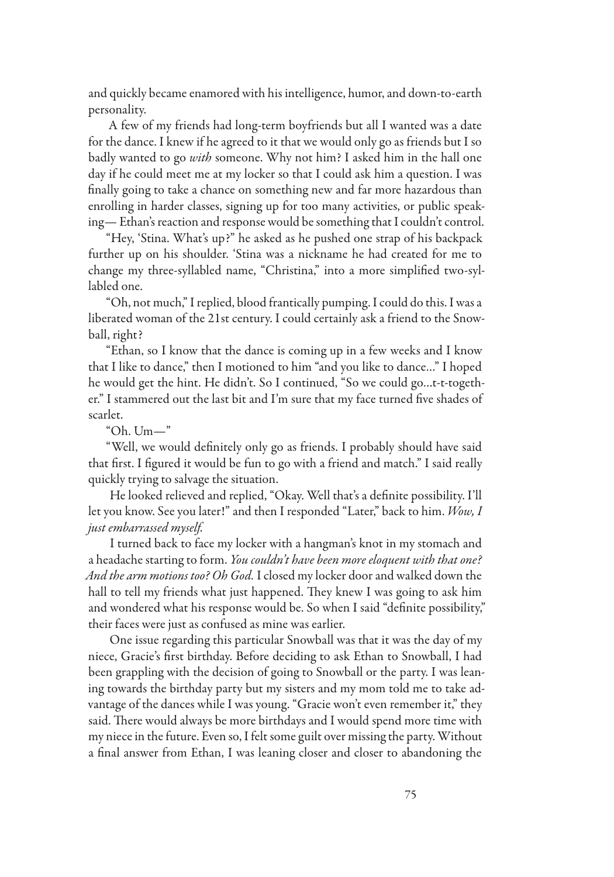and quickly became enamored with his intelligence, humor, and down-to-earth personality.

A few of my friends had long-term boyfriends but all I wanted was a date for the dance. I knew if he agreed to it that we would only go as friends but I so badly wanted to go *with* someone. Why not him? I asked him in the hall one day if he could meet me at my locker so that I could ask him a question. I was finally going to take a chance on something new and far more hazardous than enrolling in harder classes, signing up for too many activities, or public speaking— Ethan's reaction and response would be something that I couldn't control.

"Hey, 'Stina. What's up?" he asked as he pushed one strap of his backpack further up on his shoulder. 'Stina was a nickname he had created for me to change my three-syllabled name, "Christina," into a more simplified two-syllabled one.

"Oh, not much," I replied, blood frantically pumping. I could do this. I was a liberated woman of the 21st century. I could certainly ask a friend to the Snowball, right?

"Ethan, so I know that the dance is coming up in a few weeks and I know that I like to dance," then I motioned to him "and you like to dance…" I hoped he would get the hint. He didn't. So I continued, "So we could go…t-t-together." I stammered out the last bit and I'm sure that my face turned five shades of scarlet.

"Oh. Um—"

"Well, we would definitely only go as friends. I probably should have said that first. I figured it would be fun to go with a friend and match." I said really quickly trying to salvage the situation.

He looked relieved and replied, "Okay. Well that's a definite possibility. I'll let you know. See you later!" and then I responded "Later," back to him. *Wow, I just embarrassed myself.*

I turned back to face my locker with a hangman's knot in my stomach and a headache starting to form. *You couldn't have been more eloquent with that one? And the arm motions too? Oh God.* I closed my locker door and walked down the hall to tell my friends what just happened. They knew I was going to ask him and wondered what his response would be. So when I said "definite possibility," their faces were just as confused as mine was earlier.

One issue regarding this particular Snowball was that it was the day of my niece, Gracie's first birthday. Before deciding to ask Ethan to Snowball, I had been grappling with the decision of going to Snowball or the party. I was leaning towards the birthday party but my sisters and my mom told me to take advantage of the dances while I was young. "Gracie won't even remember it," they said. There would always be more birthdays and I would spend more time with my niece in the future. Even so, I felt some guilt over missing the party. Without a final answer from Ethan, I was leaning closer and closer to abandoning the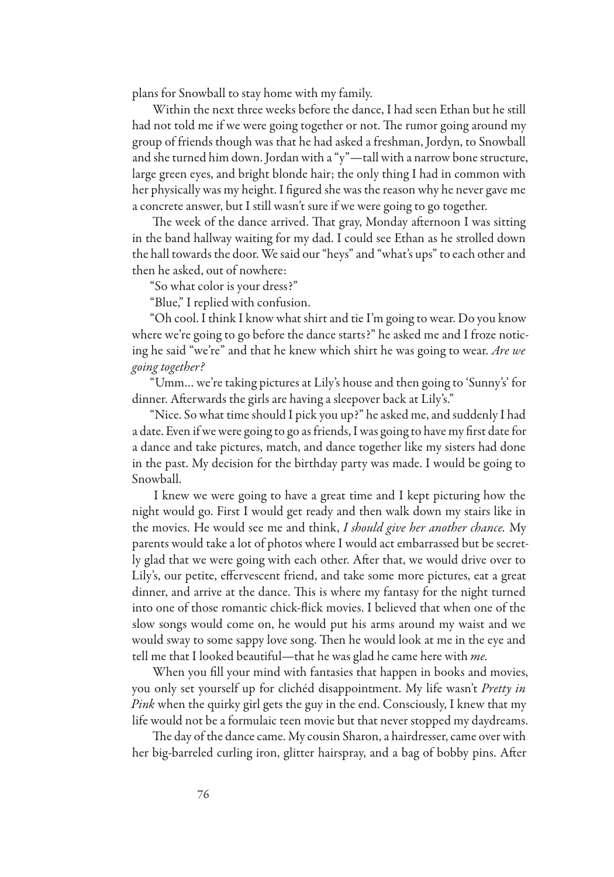plans for Snowball to stay home with my family.

Within the next three weeks before the dance, I had seen Ethan but he still had not told me if we were going together or not. The rumor going around my group of friends though was that he had asked a freshman, Jordyn, to Snowball and she turned him down. Jordan with a "y"—tall with a narrow bone structure, large green eyes, and bright blonde hair; the only thing I had in common with her physically was my height. I figured she was the reason why he never gave me a concrete answer, but I still wasn't sure if we were going to go together.

The week of the dance arrived. That gray, Monday afternoon I was sitting in the band hallway waiting for my dad. I could see Ethan as he strolled down the hall towards the door. We said our "heys" and "what's ups" to each other and then he asked, out of nowhere:

"So what color is your dress?"

"Blue," I replied with confusion.

"Oh cool. I think I know what shirt and tie I'm going to wear. Do you know where we're going to go before the dance starts?" he asked me and I froze noticing he said "we're" and that he knew which shirt he was going to wear. *Are we going together?*

"Umm… we're taking pictures at Lily's house and then going to 'Sunny's' for dinner. Afterwards the girls are having a sleepover back at Lily's."

"Nice. So what time should I pick you up?" he asked me, and suddenly I had a date. Even if we were going to go as friends, I was going to have my first date for a dance and take pictures, match, and dance together like my sisters had done in the past. My decision for the birthday party was made. I would be going to Snowball.

I knew we were going to have a great time and I kept picturing how the night would go. First I would get ready and then walk down my stairs like in the movies. He would see me and think, *I should give her another chance.* My parents would take a lot of photos where I would act embarrassed but be secretly glad that we were going with each other. After that, we would drive over to Lily's, our petite, effervescent friend, and take some more pictures, eat a great dinner, and arrive at the dance. This is where my fantasy for the night turned into one of those romantic chick-flick movies. I believed that when one of the slow songs would come on, he would put his arms around my waist and we would sway to some sappy love song. Then he would look at me in the eye and tell me that I looked beautiful—that he was glad he came here with *me.*

When you fill your mind with fantasies that happen in books and movies, you only set yourself up for clichéd disappointment. My life wasn't *Pretty in Pink* when the quirky girl gets the guy in the end. Consciously, I knew that my life would not be a formulaic teen movie but that never stopped my daydreams.

The day of the dance came. My cousin Sharon, a hairdresser, came over with her big-barreled curling iron, glitter hairspray, and a bag of bobby pins. After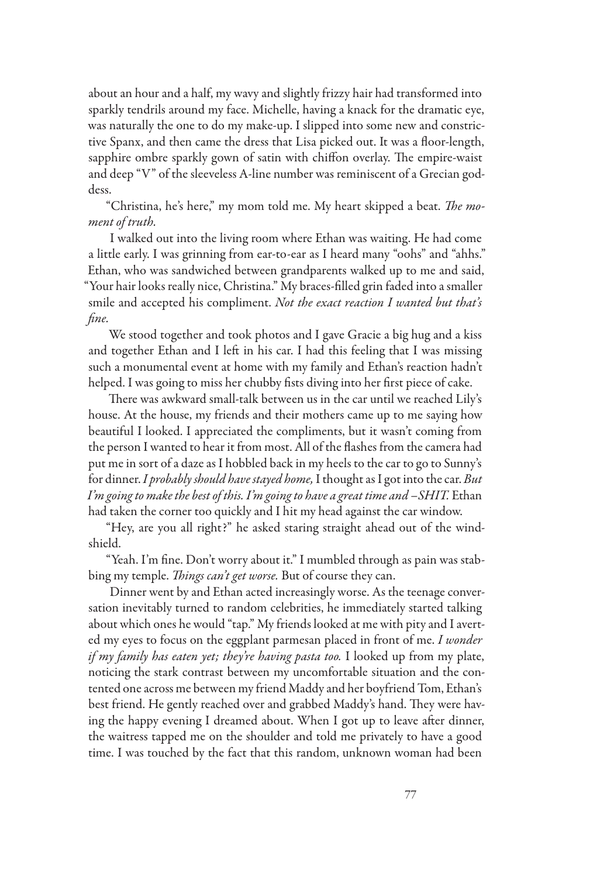about an hour and a half, my wavy and slightly frizzy hair had transformed into sparkly tendrils around my face. Michelle, having a knack for the dramatic eye, was naturally the one to do my make-up. I slipped into some new and constrictive Spanx, and then came the dress that Lisa picked out. It was a floor-length, sapphire ombre sparkly gown of satin with chiffon overlay. The empire-waist and deep "V" of the sleeveless A-line number was reminiscent of a Grecian goddess.

"Christina, he's here," my mom told me. My heart skipped a beat. *The moment of truth.*

I walked out into the living room where Ethan was waiting. He had come a little early. I was grinning from ear-to-ear as I heard many "oohs" and "ahhs." Ethan, who was sandwiched between grandparents walked up to me and said, "Your hair looks really nice, Christina." My braces-filled grin faded into a smaller smile and accepted his compliment. *Not the exact reaction I wanted but that's fine.*

We stood together and took photos and I gave Gracie a big hug and a kiss and together Ethan and I left in his car. I had this feeling that I was missing such a monumental event at home with my family and Ethan's reaction hadn't helped. I was going to miss her chubby fists diving into her first piece of cake.

There was awkward small-talk between us in the car until we reached Lily's house. At the house, my friends and their mothers came up to me saying how beautiful I looked. I appreciated the compliments, but it wasn't coming from the person I wanted to hear it from most. All of the flashes from the camera had put me in sort of a daze as I hobbled back in my heels to the car to go to Sunny's for dinner. *I probably should have stayed home,* I thought as I got into the car. *But I'm going to make the best of this. I'm going to have a great time and –SHIT.* Ethan had taken the corner too quickly and I hit my head against the car window.

"Hey, are you all right?" he asked staring straight ahead out of the windshield.

"Yeah. I'm fine. Don't worry about it." I mumbled through as pain was stabbing my temple. *Things can't get worse.* But of course they can.

Dinner went by and Ethan acted increasingly worse. As the teenage conversation inevitably turned to random celebrities, he immediately started talking about which ones he would "tap." My friends looked at me with pity and I averted my eyes to focus on the eggplant parmesan placed in front of me. *I wonder if my family has eaten yet; they're having pasta too.* I looked up from my plate, noticing the stark contrast between my uncomfortable situation and the contented one across me between my friend Maddy and her boyfriend Tom, Ethan's best friend. He gently reached over and grabbed Maddy's hand. They were having the happy evening I dreamed about. When I got up to leave after dinner, the waitress tapped me on the shoulder and told me privately to have a good time. I was touched by the fact that this random, unknown woman had been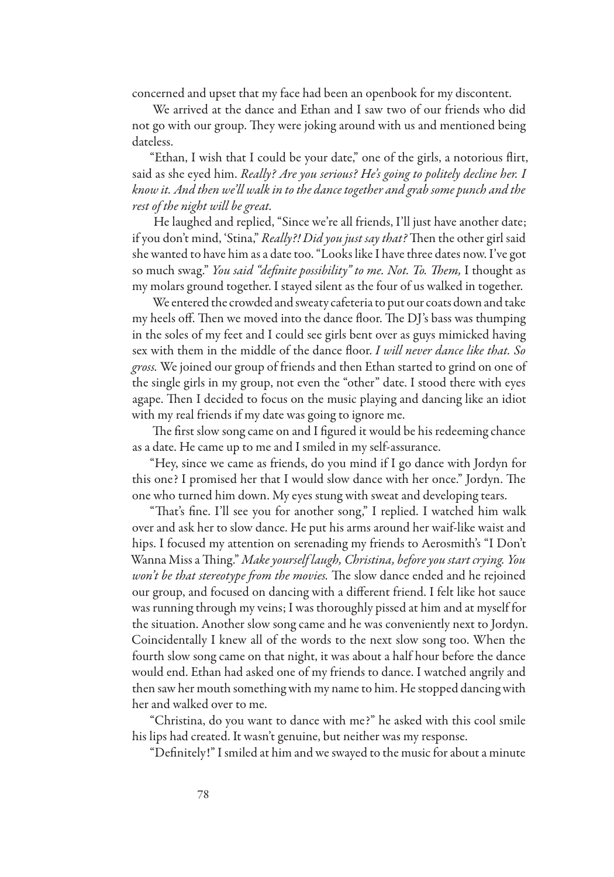concerned and upset that my face had been an openbook for my discontent.

We arrived at the dance and Ethan and I saw two of our friends who did not go with our group. They were joking around with us and mentioned being dateless.

"Ethan, I wish that I could be your date," one of the girls, a notorious flirt, said as she eyed him. *Really? Are you serious? He's going to politely decline her. I know it. And then we'll walk in to the dance together and grab some punch and the rest of the night will be great.*

He laughed and replied, "Since we're all friends, I'll just have another date; if you don't mind, 'Stina," *Really?! Did you just say that?* Then the other girl said she wanted to have him as a date too. "Looks like I have three dates now. I've got so much swag." *You said "definite possibility" to me. Not. To. Them,* I thought as my molars ground together. I stayed silent as the four of us walked in together.

We entered the crowded and sweaty cafeteria to put our coats down and take my heels off. Then we moved into the dance floor. The DJ's bass was thumping in the soles of my feet and I could see girls bent over as guys mimicked having sex with them in the middle of the dance floor. *I will never dance like that. So gross.* We joined our group of friends and then Ethan started to grind on one of the single girls in my group, not even the "other" date. I stood there with eyes agape. Then I decided to focus on the music playing and dancing like an idiot with my real friends if my date was going to ignore me.

The first slow song came on and I figured it would be his redeeming chance as a date. He came up to me and I smiled in my self-assurance.

"Hey, since we came as friends, do you mind if I go dance with Jordyn for this one? I promised her that I would slow dance with her once." Jordyn. The one who turned him down. My eyes stung with sweat and developing tears.

"That's fine. I'll see you for another song," I replied. I watched him walk over and ask her to slow dance. He put his arms around her waif-like waist and hips. I focused my attention on serenading my friends to Aerosmith's "I Don't Wanna Miss a Thing." *Make yourself laugh, Christina, before you start crying. You won't be that stereotype from the movies.* The slow dance ended and he rejoined our group, and focused on dancing with a different friend. I felt like hot sauce was running through my veins; I was thoroughly pissed at him and at myself for the situation. Another slow song came and he was conveniently next to Jordyn. Coincidentally I knew all of the words to the next slow song too. When the fourth slow song came on that night, it was about a half hour before the dance would end. Ethan had asked one of my friends to dance. I watched angrily and then saw her mouth something with my name to him. He stopped dancing with her and walked over to me.

"Christina, do you want to dance with me?" he asked with this cool smile his lips had created. It wasn't genuine, but neither was my response.

"Definitely!" I smiled at him and we swayed to the music for about a minute